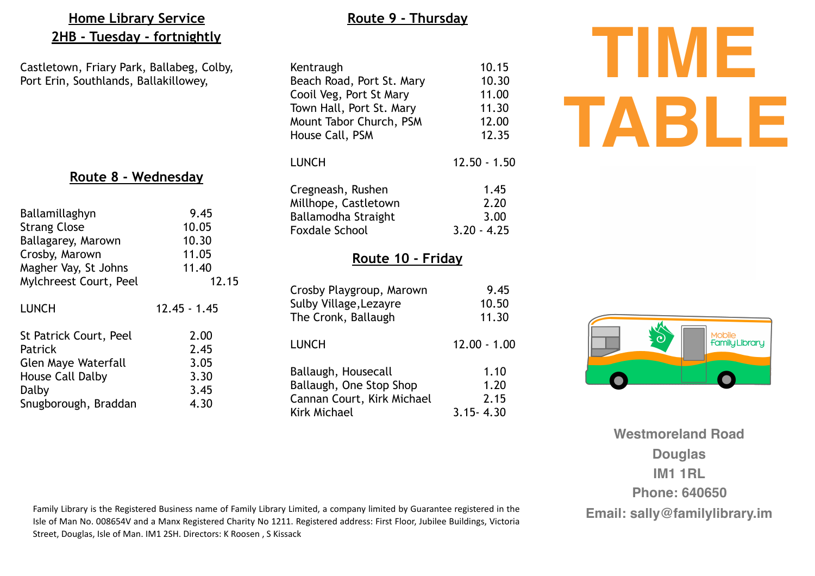# **Home Library Service 2HB - Tuesday - fortnightly**

Castletown, Friary Park, Ballabeg, Colby, Port Erin, Southlands, Ballakillowey,

# **Route 8 - Wednesday**

| Ballamillaghyn             | 9.45           |
|----------------------------|----------------|
| <b>Strang Close</b>        | 10.05          |
| Ballagarey, Marown         | 10.30          |
| Crosby, Marown             | 11.05          |
| Magher Vay, St Johns       | 11.40          |
| Mylchreest Court, Peel     | 12.15          |
| LUNCH                      | $12.45 - 1.45$ |
| St Patrick Court, Peel     | 2.00           |
| Patrick                    | 2.45           |
| <b>Glen Maye Waterfall</b> | 3.05           |
| <b>House Call Dalby</b>    | 3.30           |
| Dalby                      | 3.45           |
| Snugborough, Braddan       | 4.30           |

# Kentraugh 10.15 Beach Road, Port St. Mary 10.30 Cooil Veg, Port St Mary 11.00 Town Hall, Port St. Mary 11.30 Mount Tabor Church, PSM 12.00 House Call, PSM 12.35 LUNCH 12.50 - 1.50 Cregneash, Rushen 1.45 Millhope, Castletown 2.20 Ballamodha Straight 3.00 Foxdale School 3.20 - 4.25

**Route 9 - Thursday** 

#### **Route 10 - Friday**

| Crosby Playgroup, Marown   | 9.45           |
|----------------------------|----------------|
| Sulby Village, Lezayre     | 10.50          |
| The Cronk, Ballaugh        | 11.30          |
| <b>LUNCH</b>               | $12.00 - 1.00$ |
| Ballaugh, Housecall        | 1.10           |
| Ballaugh, One Stop Shop    | 1.20           |
| Cannan Court, Kirk Michael | 2.15           |
| <b>Kirk Michael</b>        | $3.15 - 4.30$  |

# **TIME TABLE**



**Westmoreland Road Douglas IM1 1RL Phone: 640650**

Family Library is the Registered Business name of Family Library Limited, a company limited by Guarantee registered in the<br>Isle of Man No. 008654V and a Manx Registered Charity No 1211. Registered address: First Floor, Jub Street, Douglas, Isle of Man. IM1 2SH. Directors: K Roosen, S Kissack